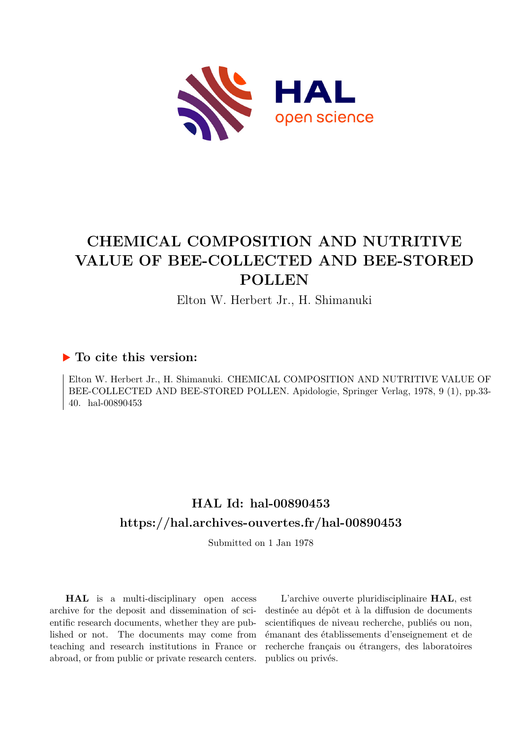

# **CHEMICAL COMPOSITION AND NUTRITIVE VALUE OF BEE-COLLECTED AND BEE-STORED POLLEN**

Elton W. Herbert Jr., H. Shimanuki

### **To cite this version:**

Elton W. Herbert Jr., H. Shimanuki. CHEMICAL COMPOSITION AND NUTRITIVE VALUE OF BEE-COLLECTED AND BEE-STORED POLLEN. Apidologie, Springer Verlag, 1978, 9 (1), pp.33- 40. hal-00890453

## **HAL Id: hal-00890453 <https://hal.archives-ouvertes.fr/hal-00890453>**

Submitted on 1 Jan 1978

**HAL** is a multi-disciplinary open access archive for the deposit and dissemination of scientific research documents, whether they are published or not. The documents may come from teaching and research institutions in France or abroad, or from public or private research centers.

L'archive ouverte pluridisciplinaire **HAL**, est destinée au dépôt et à la diffusion de documents scientifiques de niveau recherche, publiés ou non, émanant des établissements d'enseignement et de recherche français ou étrangers, des laboratoires publics ou privés.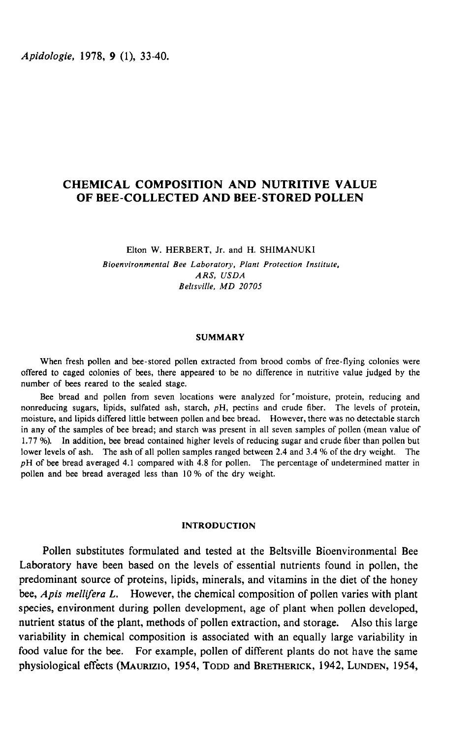Apidologie, 1978, 9 (1), 33-40.

### CHEMICAL COMPOSITION AND NUTRITIVE VALUE OF BEE-COLLECTED AND BEE-STORED POLLEN

Elton W. HERBERT, Jr. and H. SHIMANUKI

Bioenvironmental Bee Gaboratory, Plant Protection Institute, ARS, USDA Beltsville, MD 20705

#### **SUMMARY**

When fresh pollen and bee-stored pollen extracted from brood combs of free-flying colonies were offered to caged colonies of bees, there appeared to be no difference in nutritive value judged by the number of bees reared to the sealed stage.

Bee bread and pollen from seven locations were analyzed for'moisture, protein, reducing and nonreducing sugars, lipids, sulfated ash, starch, pH, pectins and crude fiber. The levels of protein, moisture, and lipids differed little between pollen and bee bread. However, there was no detectable starch in any of the samples of bee bread; and starch was present in all seven samples of pollen (mean value of 1.77 %). In addition, bee bread contained higher levels of reducing sugar and crude fiber than pollen but lower levels of ash. The ash of all pollen samples ranged between 2.4 and 3.4 % of the dry weight. The  $pH$  of bee bread averaged 4.1 compared with 4.8 for pollen. The percentage of undetermined matter in pollen and bee bread averaged less than 10 % of the dry weight.

#### INTRODUCTION

Pollen substitutes formulated and tested at the Beltsville Bioenvironmental Bee Laboratory have been based on the levels of essential nutrients found in pollen, the predominant source of proteins, lipids, minerals, and vitamins in the diet of the honey bee, Apis mellifera L. However, the chemical composition of pollen varies with plant species, environment during pollen development, age of plant when pollen developed, nutrient status of the plant, methods of pollen extraction, and storage. Also this large variability in chemical composition is associated with an equally large variability in food value for the bee. For example, pollen of different plants do not have the same bee, *Apis mellifera L.* However, the chemical composition of pollen varies with plant species, environment during pollen development, age of plant when pollen developed, nutrient status of the plant, methods of pollen ext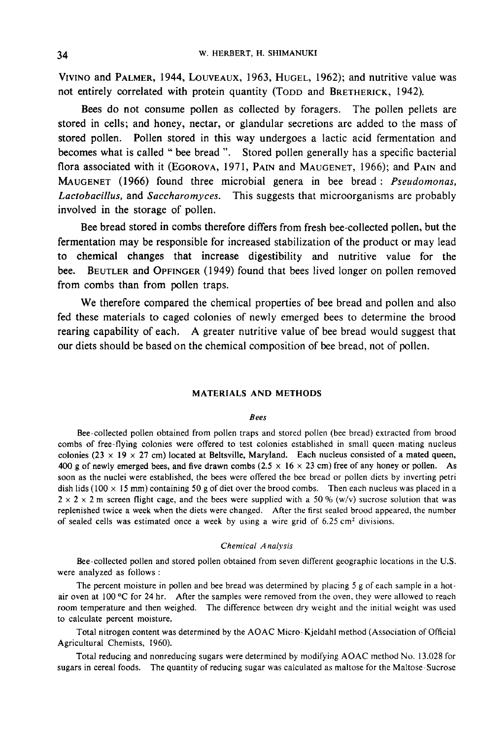W. HERBERT, H. SHIMANUKI<br>
VIVINO and PALMER, 1944, LOUVEAUX, 1963, HUGEL, 1962); and nutritive value was<br>
not entirely correlated with protein quantity (TODD and BRETHERICK, 1942).<br>
Bees do not consume pollen as collected

Bees do not consume pollen as collected by foragers. The pollen pellets are stored in cells; and honey, nectar, or glandular secretions are added to the mass of stored pollen. Pollen stored in this way undergoes a lactic acid fermentation and becomes what is called " bee bread ". Stored pollen generally has a specific bacterial flora associated with it (EGOROVA, 1971, PAIN and MAUGENET, 1966); and PAIN and stored in contracts and politically becomes when<br>Manual and the Manual Manual Manual Manual Manual Manual Manual Manual Manual Manual Manual Manual Manual Manual Ma<br>*Lactobacill* Bees do not consume pollen as collected by foragers. The pollen pellets are<br>in cells; and honey, nectar, or glandular secretions are added to the mass of<br>i pollen. Pollen stored in this way undergoes a lactic acid fermenta AUGENET (1966) found three microbial genera in bee bread : Pseudomonas, Lactobacillus, and Saccharomyces. This suggests that microorganisms are probably involved in the storage of pollen.

Bee bread stored in combs therefore differs from fresh bee-collected pollen, but the fermentation may be responsible for increased stabilization of the product or may lead to chemical changes that increase digestibility and nutritive value for the Bee bread stored in combs therefore differs from fresh bee-collected pollen, but the<br>fermentation may be responsible for increased stabilization of the product or may lead<br>to chemical changes that increase digestibility an from combs than from pollen traps.

We therefore compared the chemical properties of bee bread and pollen and also fed these materials to caged colonies of newly emerged bees to determine the brood rearing capability of each. A greater nutritive value of bee bread would suggest that our diets should be based on the chemical composition of bee bread, not of pollen.

#### MATERIALS AND METHODS

#### Bees

Bee-collected pollen obtained from pollen traps and stored pollen (bee bread) extracted from brood combs of free-flying colonies were offered to test colonies established in small queen-mating nucleus colonies ( $23 \times 19 \times 27$  cm) located at Beltsville, Maryland. Each nucleus consisted of a mated queen, 400 g of newly emerged bees, and five drawn combs ( $2.5 \times 16 \times 23$  cm) free of any honey or pollen. As soon as the nuclei were established, the bees were offered the bee bread or pollen diets by inverting petri dish lids (100  $\times$  15 mm) containing 50 g of diet over the brood combs. Then each nucleus was placed in a  $2 \times 2 \times 2$  m screen flight cage, and the bees were supplied with a 50 % (w/v) sucrose solution that was replenished twice a week when the diets were changed. After the first sealed brood appeared, the number of sealed cells was estimated once a week by using a wire grid of  $6.25 \text{ cm}^2$  divisions.

#### Chemical Analysis

Bee-collected pollen and stored pollen obtained from seven different geographic locations in the U.S. were analyzed as follows :

The percent moisture in pollen and bee bread was determined by placing 5 g of each sample in a hotair oven at 100 °C for 24 hr. After the samples were removed from the oven, they were allowed to reach room temperature and then weighed. The difference between dry weight and the initial weight was used to calculate percent moisture.

Total nitrogen content was determined by the AOAC Micro-Kjeldahl method (Association of Official Agricultural Chemists, 1960).

Total reducing and nonreducing sugars were determined by modifying AOAC method No. 13.028 for sugars in cereal foods. The quantity of reducing sugar was calculated as maltose for the Maltose-Sucrose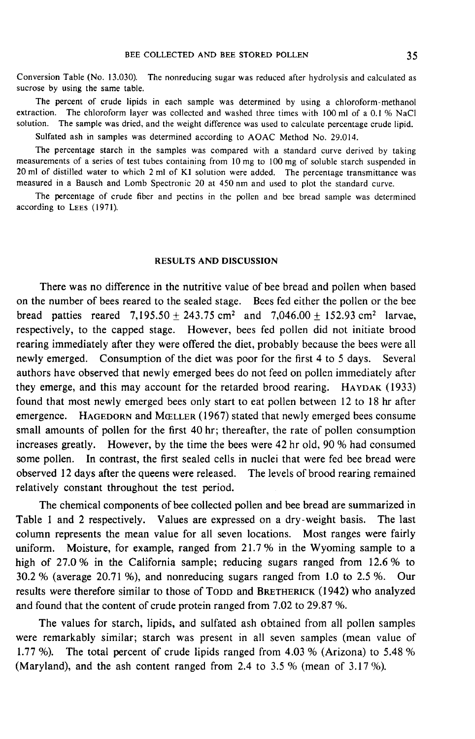Conversion Table (No. 13.030). The nonreducing sugar was reduced after hydrolysis and calculated as sucrose by using the same table.

The percent of crude lipids in each sample was determined by using a chloroform-methanol extraction. The chloroform layer was collected and washed three times with 100 ml of a 0.1 % NaCl solution. The sample was dried, and the weight difference was used to calculate percentage crude lipid.

Sulfated ash in samples was determined according to AOAC Method No. 29.014.

The percentage starch in the samples was compared with a standard curve derived by taking measurements of a series of test tubes containing from 10 mg to 100 mg of soluble starch suspended in 20 ml of distilled water to which 2 ml of KI solution were added. The percentage transmittance was measured in a Bausch and Lomb Spectronic 20 at 450 nm and used to plot the standard curve.

The percentage of crude fiber and pectins in the pollen and bee bread sample was determined according to LEES (1971).

#### RESULTS AND DISCUSSION

There was no difference in the nutritive value of bee bread and pollen when based on the number of bees reared to the sealed stage. Bees fed either the pollen or the bee bread patties reared  $7,195.50 \pm 243.75 \text{ cm}^2$  and  $7,046.00 \pm 152.93 \text{ cm}^2$  larvae, respectively, to the capped stage. However, bees fed pollen did not initiate brood rearing immediately after they were offered the diet, probably because the bees were all newly emerged. Consumption of the diet was poor for the first 4 to 5 days. Several authors have observed that newly emerged bees do not feed on pollen immediately after rearing immediately after they were offered the diet, probably because the bees were all<br>newly emerged. Consumption of the diet was poor for the first 4 to 5 days. Several<br>authors have observed that newly emerged bees do n found that most newly emerged bees only start to eat pollen between 12 to 18 hr after newly emerged. Consumption of the diet was poor for the first 4 to 5 days. Several<br>authors have observed that newly emerged bees do not feed on pollen immediately after<br>they emerge, and this may account for the retarded br small amounts of pollen for the first 40 hr; thereafter, the rate of pollen consumption increases greatly. However, by the time the bees were 42 hr old, 90 % had consumed some pollen. In contrast, the first sealed cells in nuclei that were fed bee bread were observed 12 days after the queens were released. The levels of brood rearing remained relatively constant throughout the test period.

The chemical components of bee collected pollen and bee bread are summarized in Table 1 and 2 respectively. Values are expressed on a dry-weight basis. The last column represents the mean value for all seven locations. Most ranges were fairly uniform. Moisture, for example, ranged from  $21.7\%$  in the Wyoming sample to a high of 27.0 % in the California sample; reducing sugars ranged from 12.6 % to 30.2 % (average 20.71 %), and nonreducing sugars ranged from 1.0 to 2.5 %. Our Table 1 and 2 respectively. Values are expressed on a dry-weight basis. The last column represents the mean value for all seven locations. Most ranges were fairly uniform. Moisture, for example, ranged from 21.7% in the W and found that the content of crude protein ranged from 7.02 to 29.87 %.

The values for starch, lipids, and sulfated ash obtained from all pollen samples were remarkably similar; starch was present in all seven samples (mean value of 1.77 %). The total percent of crude lipids ranged from 4.03 % (Arizona) to 5.48 % (Maryland), and the ash content ranged from 2.4 to 3.5 % (mean of  $3.17\%$ ).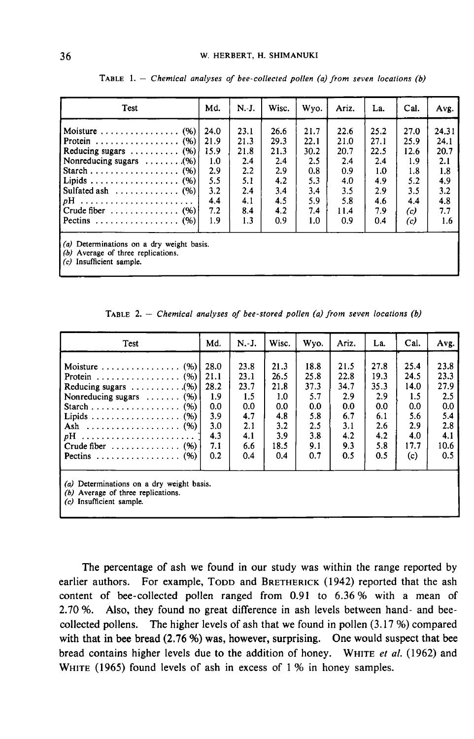| Test                                                                                                                                                                                                                                                      | Md.                                                                   | $N.-J.$                                                               | Wisc.                                                                 | Wyo.                                                                  | Ariz.                                                                  | La.                                                                   | Cal.                                                                  | Avg.                                                                   |  |
|-----------------------------------------------------------------------------------------------------------------------------------------------------------------------------------------------------------------------------------------------------------|-----------------------------------------------------------------------|-----------------------------------------------------------------------|-----------------------------------------------------------------------|-----------------------------------------------------------------------|------------------------------------------------------------------------|-----------------------------------------------------------------------|-----------------------------------------------------------------------|------------------------------------------------------------------------|--|
| (% )<br>Moisture<br>Protein $(96)$<br>Reducing sugars $\ldots \ldots \ldots$ (%)<br>Nonreducing sugars $\ldots \ldots \ldots$ . (%)<br>Starch (%)<br>Sulfated ash $\ldots$ (%)<br>$pH$<br>Crude fiber $\ldots \ldots \ldots \ldots$ (%)<br>Pectins $(96)$ | 24.0<br>21.9<br>15.9<br>1.0<br>2.9<br>5.5<br>3.2<br>4.4<br>7.2<br>1.9 | 23.1<br>21.3<br>21.8<br>2.4<br>2.2<br>5.1<br>2.4<br>4.1<br>8.4<br>1.3 | 26.6<br>29.3<br>21.3<br>2.4<br>2.9<br>4.2<br>3.4<br>4.5<br>4.2<br>0.9 | 21.7<br>22.1<br>30.2<br>2.5<br>0.8<br>5.3<br>3.4<br>5.9<br>7.4<br>1.0 | 22.6<br>21.0<br>20.7<br>2.4<br>0.9<br>4.0<br>3.5<br>5.8<br>11.4<br>0.9 | 25.2<br>27.1<br>22.5<br>2.4<br>1.0<br>4.9<br>2.9<br>4.6<br>7.9<br>0.4 | 27.0<br>25.9<br>12.6<br>1.9<br>1.8<br>5.2<br>3.5<br>4.4<br>(c)<br>(c) | 24.31<br>24.1<br>20.7<br>2.1<br>1.8<br>4.9<br>3.2<br>4.8<br>7.7<br>1.6 |  |
| (a) Determinations on a dry weight basis.<br>$(b)$ Average of three replications.<br>(c) Insufficient sample.                                                                                                                                             |                                                                       |                                                                       |                                                                       |                                                                       |                                                                        |                                                                       |                                                                       |                                                                        |  |

TABLE  $1.$  - Chemical analyses of bee-collected pollen (a) from seven locations (b)

TABLE 2. - Chemical analyses of bee-stored pollen (a) from seven locations (b)

| <b>Test</b>                                                                                                    | Md.  | N. J. | Wisc. | Wyo. | Ariz. | La.  | Cal. | Avg. |
|----------------------------------------------------------------------------------------------------------------|------|-------|-------|------|-------|------|------|------|
| (96)<br>Moisture $\ldots \ldots \ldots \ldots$                                                                 | 28.0 | 23.8  | 21.3  | 18.8 | 21.5  | 27.8 | 25.4 | 23.8 |
| Protein $(%)$                                                                                                  | 21.1 | 23.1  | 26.5  | 25.8 | 22.8  | 19.3 | 24.5 | 23.3 |
| Reducing sugars $\dots \dots \dots (96)$                                                                       | 28.2 | 23.7  | 21.8  | 37.3 | 34.7  | 35.3 | 14.0 | 27.9 |
| Nonreducing sugars $\ldots$ (%)                                                                                | 1.9  | 1.5   | 1.0   | 5.7  | 2.9   | 2.9  | 1.5  | 2.5  |
| Starch $(%)$                                                                                                   | 0.0  | 0.0   | 0.0   | 0.0  | 0.0   | 0.0  | 0.0  | 0.0  |
|                                                                                                                | 3.9  | 4.7   | 4.8   | 5.8  | 6.7   | 6.1  | 5.6  | 5.4  |
|                                                                                                                | 3.0  | 2.1   | 3.2   | 2.5  | 3.1   | 2.6  | 2.9  | 2.8  |
| $pH$                                                                                                           | 4.3  | 4.1   | 3.9   | 3.8  | 4.2   | 4.2  | 4.0  | 4.1  |
| Crude fiber $\ldots \ldots \ldots \ldots (%)$                                                                  | 7.1  | 6.6   | 18.5  | 9.1  | 9.3   | 5.8  | 17.7 | 10.6 |
| Pectins $(96)$                                                                                                 | 0.2  | 0.4   | 0.4   | 0.7  | 0.5   | 0.5  | (c)  | 0.5  |
| (a) Determinations on a dry weight basis.<br>(b) Average of three replications.<br>Insufficient sample.<br>(c) |      |       |       |      |       |      |      |      |

The percentage of ash we found in our study was within the range reported by The percentage of ash we found in our study was within the range reported by<br>earlier authors. For example, Topp and BRETHERICK (1942) reported that the ash<br>content of bee-collected pollen ranged from 0.91 to 6.36% with a m content of bee-collected pollen ranged from 0.91 to 6.36 % with a mean of 2.70 %. Also, they found no great difference in ash levels between hand- and beecollected pollens. The higher levels of ash that we found in pollen (3.17 %) compared with that in bee bread (2.76 %) was, however, surprising. One would suspect that bee bread contains higher levels due to the addition of honey. WHITE et al. (1962) and WHITE (1965) found levels of ash in excess of 1 % in honey samples.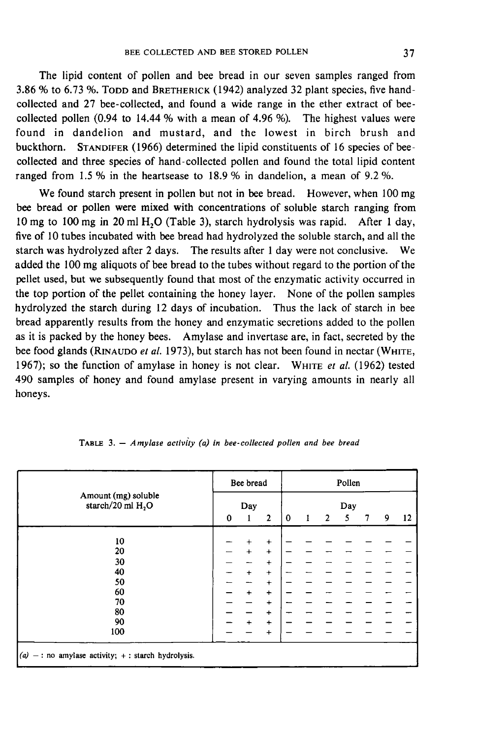The lipid content of pollen and bee bread in our seven samples ranged from BEE COLLECTED AND BEE STORED POLLEN 37<br>The lipid content of pollen and bee bread in our seven samples ranged from<br>3.86 % to 6.73 %. Topp and BRETHERICK (1942) analyzed 32 plant species, five handcollected and 27 bee-collected, and found a wide range in the ether extract of beecollected pollen (0.94 to 14.44 % with a mean of 4.96 %). The highest values were found in dandelion and mustard, and the lowest in birch brush and 3.86 % to 6.73 %. Topp and BRETHERICK (1942) analyzed 32 plant species, five hand-collected and 27 bee-collected, and found a wide range in the ether extract of bee-collected pollen (0.94 to 14.44 % with a mean of 4.96 %) collected and three species of hand-collected pollen and found the total lipid content ranged from 1.5 % in the heartsease to 18.9 % in dandelion, a mean of 9.2 %.

We found starch present in pollen but not in bee bread. However, when 100 mg bee bread or pollen were mixed with concentrations of soluble starch ranging from 10 mg to 100 mg in 20 ml H<sub>2</sub>O (Table 3), starch hydrolysis was rapid. After 1 day, five of 10 tubes incubated with bee bread had hydrolyzed the soluble starch, and all the starch was hydrolyzed after 2 days. The results after 1 day were not conclusive. We added the 100 mg aliquots of bee bread to the tubes without regard to the portion of the pellet used, but we subsequently found that most of the enzymatic activity occurred in the top portion of the pellet containing the honey layer. None of the pollen samples hydrolyzed the starch during 12 days of incubation. Thus the lack of starch in bee bread apparently results from the honey and enzymatic secretions added to the pollen as it is packed by the honey bees. Amylase and invertase are, in fact, secreted by the bee food glands (RINAUDO et al. 1973), but starch has not been found in nectar (WHITE, 1967); so the function of amylase in honey is not clear. WHITE et al. (1962) tested 490 samples of honey and found amylase present in varying amounts in nearly all honeys.

| Amount (mg) soluble<br>starch/20 ml $H_2O$          | Bee bread   |           |              | Pollen   |   |                |   |   |   |    |
|-----------------------------------------------------|-------------|-----------|--------------|----------|---|----------------|---|---|---|----|
|                                                     | Day         |           |              | Day      |   |                |   |   |   |    |
|                                                     | $\mathbf 0$ | 1         | $\mathbf{2}$ | $\bf{0}$ | 1 | $\overline{2}$ | 5 | 7 | 9 | 12 |
|                                                     |             |           |              |          |   |                |   |   |   |    |
| 10                                                  |             | +         | +            |          |   |                |   |   |   |    |
| 20                                                  |             | $+$       | $+$          |          |   |                |   |   |   |    |
| 30                                                  |             |           | $\ddot{}$    |          |   |                |   |   |   |    |
| 40                                                  |             | $\ddot{}$ | $\ddot{}$    |          |   |                |   |   |   |    |
| 50                                                  |             |           | $\ddot{}$    |          |   |                |   |   |   |    |
| 60                                                  |             | $\ddot{}$ | $+$          |          |   |                |   |   |   |    |
| 70                                                  |             |           | $\ddot{}$    |          |   |                |   |   |   |    |
| 80                                                  |             |           | $\ddot{}$    |          |   |                |   |   |   |    |
| 90                                                  |             | $\ddot{}$ | $\ddot{}$    |          |   |                |   |   |   |    |
| 100                                                 |             |           |              |          |   |                |   |   |   |    |
|                                                     |             |           | +            |          |   |                |   |   |   |    |
| $(a)$ -: no amylase activity; +: starch hydrolysis. |             |           |              |          |   |                |   |   |   |    |

TABLE 3. - Amylase activity (a) in bee-collected pollen and bee bread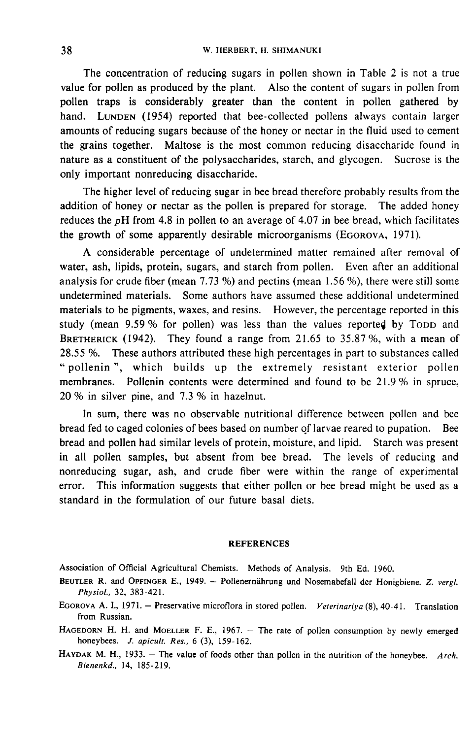The concentration of reducing sugars in pollen shown in Table 2 is not a true value for pollen as produced by the plant. Also the content of sugars in pollen from pollen traps is considerably greater than the content in pollen gathered by The concentration of reducing sugars in pollen shown in Table 2 is not a true<br>value for pollen as produced by the plant. Also the content of sugars in pollen from<br>pollen traps is considerably greater than the content in po amounts of reducing sugars because of the honey or nectar in the fluid used to cement the grains together. Maltose is the most common reducing disaccharide found in nature as a constituent of the polysaccharides, starch, and glycogen. Sucrose is the only important nonreducing disaccharide.

The higher level of reducing sugar in bee bread therefore probably results from the addition of honey or nectar as the pollen is prepared for storage. The added honey reduces the  $p$ H from 4.8 in pollen to an average of 4.07 in bee bread, which facilitates the growth of some apparently desirable microorganisms (EGOROVA, 1971).

A considerable percentage of undetermined matter remained after removal of water, ash, lipids, protein, sugars, and starch from pollen. Even after an additional analysis for crude fiber (mean 7.73 %) and pectins (mean 1.56 %), there were still some undetermined materials. Some authors have assumed these additional undetermined materials to be pigments, waxes, and resins. However, the percentage reported in this study water, asn, i<br>analysis for<br>undetermine<br>materials to<br>study (mean<br>BRETHERICK<br>28.55%. mined materials. Some authors have assumed these additional undetermined<br>als to be pigments, waxes, and resins. However, the percentage reported in this<br>(mean 9.59 % for pollen) was less than the values reported by TODD an RETHERICK (1942). They found a range from 21.65 to 35.87 %, with a mean of 28.55 %. These authors attributed these high percentages in part to substances called " pollenin ", which builds up the extremely resistant exterior pollen membranes. Pollenin contents were determined and found to be 21.9 % in spruce, 20 % in silver pine, and 7.3 % in hazelnut.

In sum, there was no observable nutritional difference between pollen and bee bread fed to caged colonies of bees based on number of larvae reared to pupation. Bee bread and pollen had similar levels of protein, moisture, and lipid. Starch was present in all pollen samples, but absent from bee bread. The levels of reducing and nonreducing sugar, ash, and crude fiber were within the range of experimental error. This information suggests that either pollen or bee bread might be used as a standard in the formulation of our future basal diets.

#### **REFERENCES**

Association of Official Agricultural Chemists. Methods of Analysis. 9th Ed. 1960.

- REFERENCES<br>Association of Official Agricultural Chemists. Methods of Analysis. 9th Ed. 1960.<br>BEUTLER R. and OPFINGER E., 1949. Pollenernährung und Nosemabefall der Honigbiene. Z. vergl.<br>Physiol., 32, 383-421. Physiol., 32, 383-421. Association of Official Agricultural Chemists. Methods of Analysis. 9th Ed. 1960.<br>BEUTLER R. and OPFINGER E., 1949. – Pollenernährung und Nosemabefall der Honigbiene. Z. vergl.<br>Physiol., 32, 383-421.<br>EGOROVA A. I., 1971. – HAGEDORN H. H. and MOELLER F. E., 1949. - Pollenernährung und Nosemabefall der Honigbiene. Z. vergl.<br>
FGOROVA A. I., 1971. - Preservative microflora in stored pollen. Veterinariya (8), 40-41. Translation<br>
from Russian.<br>
HA
- from Russian.
- honeybees. *J. apicult. Res.*, 6 (3), 159-162. HAGEDORN H. H. and MOELLER F. E., 1967. - The rate of pollen consumption by newly emerged<br>honeybees. J. apicult. Res., 6 (3), 159-162.<br>HAYDAK M. H., 1933. - The value of foods other than pollen in the nutrition of the hone
- Bienenkd., 14, 185-219.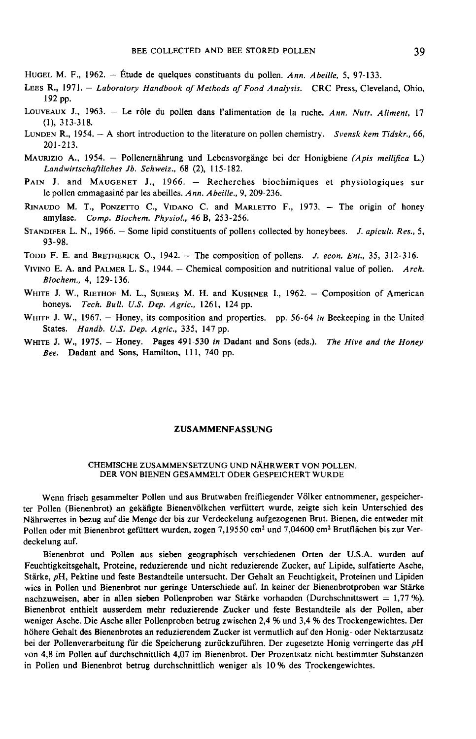- BEE COLLECTED AND BEE STORED POLLEN<br>HUGEL M. F., 1962. -- Étude de quelques constituants du pollen. Ann. Abeille, 5, 97-133.
- LEES R., 1971. Laboratory Handbook of Methods of Food Analysis. CRC Press, Cleveland, Ohio, 192 pp. HUGEL M. F., 1962. – Étude de quelques constituants du pollen. Ann. Abeille, 5, 97-133.<br>LEES R., 1971. – Laboratory Handbook of Methods of Food Analysis. CRC Press, Cleveland, Ohio<br>192 pp.<br>LOUVEAUX J., 1963. – Le rôle du p
- (1), 313-318. 192 pp.<br>LOUVEAUX J., 1963. - Le rôle du pollen dans l'alimentation de la ruche. Ann. Nutr. Aliment, 17 (1), 313-318.<br>LUNDEN R., 1954. - A short introduction to the literature on pollen chemistry. Svensk kem Tidskr., 66, 2
- 201-213. LUNDEN R., 1954. - A short introduction to the literature on pollen chemistry. Svensk kem Tidskr., 66, 201-213.<br>MAURIZIO A., 1954. - Pollenernährung und Lebensvorgänge bei der Honigbiene (Apis mellifica L.)
- Landwirtschaftliches Jb. Schweiz., 68 (2), 115-182.
- PAIN J. and MAUGENET J., 1966. Recherches biochimiques et physiologiques sur le pollen emmagasiné par les abeilles. Ann. Abeille., 9, 209-236.
- MAURIZIO A., 1954. Pollenernahrung und Lebensvorgange bei der Honigbiene (Apis mellifica L.)<br>
Landwirtschaftliches Jb. Schweiz., 68 (2), 115-182.<br>
PAIN J. and MAUGENET J., 1966. Recherches biochimiques et physiologique amylase. Comp. Biochem. Physiol., 46 B, 253-256. PAIN J. and MAUGENET J., 1966. -- Recherches biochimiques et physiologiques sur<br>le pollen emmagasiné par les abeilles. Ann. Abeille., 9, 209-236.<br>RINAUDO M. T., PONZETTO C., VIDANO C. and MARLETTO F., 1973. -- The origin o RINAUDO M. T., PONZETTO C., VIDANO C. and MARLETTO F., 1973. – The origin of hone<br>amylase. Comp. Biochem. Physiol., 46 B, 253-256.<br>STANDIFER L. N., 1966. – Some lipid constituents of pollens collected by honeybees. J. apic
- 93-98. STANDIFER L. N., 1966. – Some lipid constituents of pollens collected by honeybees. J. apicult. Res., 5, 93-98.<br>TODD F. E. and BRETHERICK O., 1942. – The composition of pollens. J. econ. Ent., 35, 312-316.<br>VIVINO E. A. an
- 
- Biochem., 4, 129-136.
- WHITE J. W., RIETHOF M. L., SUBERS M. H. and KUSHNER I., 1962. Composition of American honeys. Tech. Bull. U.S. Dep. Agric., 1261, 124 pp.
- WHITE J. W., 1967. Honey, its composition and properties. pp. 56-64 in Beekeeping in the United States. Handb. U.S. Dep. Agric., 335, 147 pp.
- WHITE J. W., 1975. Honey. Pages 491-530 in Dadant and Sons (eds.). The Hive and the Honey Bee. Dadant and Sons, Hamilton, 111, 740 pp.

#### ZUSAMMENFASSUNG

## CHEMISCHE ZUSAMMENSETZUNG UND NÄHRWERT VON POLLEN, DER VON BIENEN GESAMMELT ODER GESPEICHERT WURDE

Wenn frisch gesammelter Pollen und aus Brutwaben freifliegender Völker entnommener, gespeicherter Pollen (Bienenbrot) an gekäfigte Bienenvölkchen verfüttert wurde, zeigte sich kein Unterschied des Nährwertes in bezug auf die Menge der bis zur Verdeckelung aufgezogenen Brut. Bienen, die entweder mit Pollen oder mit Bienenbrot gefüttert wurden, zogen 7,19550 cm<sup>2</sup> und 7,04600 cm<sup>2</sup> Brutflächen bis zur Verdeckelung auf.

Bienenbrot und Pollen aus sieben geographisch verschiedenen Orten der U.S.A. wurden auf Feuchtigkeitsgehalt, Proteine, reduzierende und nicht reduzierende Zucker, auf Lipide, sulfatierte Asche, Stärke, pH, Pektine und feste Bestandteile untersucht. Der Gehalt an Feuchtigkeit, Proteinen und Lipiden wies in Pollen und Bienenbrot nur geringe Unterschiede auf. In keiner der Bienenbrotproben war Stärke nachzuweisen, aber in allen sieben Pollenproben war Stärke vorhanden (Durchschnittswert = 1,77 %). Bienenbrot enthielt ausserdem mehr reduzierende Zucker und feste Bestandteile als der Pollen, aber weniger Asche. Die Asche aller Pollenproben betrug zwischen 2,4 % und 3,4 % des Trockengewichtes. Der höhere Gehalt des Bienenbrotes an reduzierendem Zucker ist vermutlich auf den Honig- oder Nektarzusatz bei der Pollenverarbeitung für die Speicherung zurückzuführen. Der zugesetzte Honig verringerte das pH von 4,8 im Pollen auf durchschnittlich 4,07 im Bienenbrot. Der Prozentsatz nicht bestimmter Substanzen in Pollen und Bienenbrot betrug durchschnittlich weniger als 10 % des Trockengewichtes.